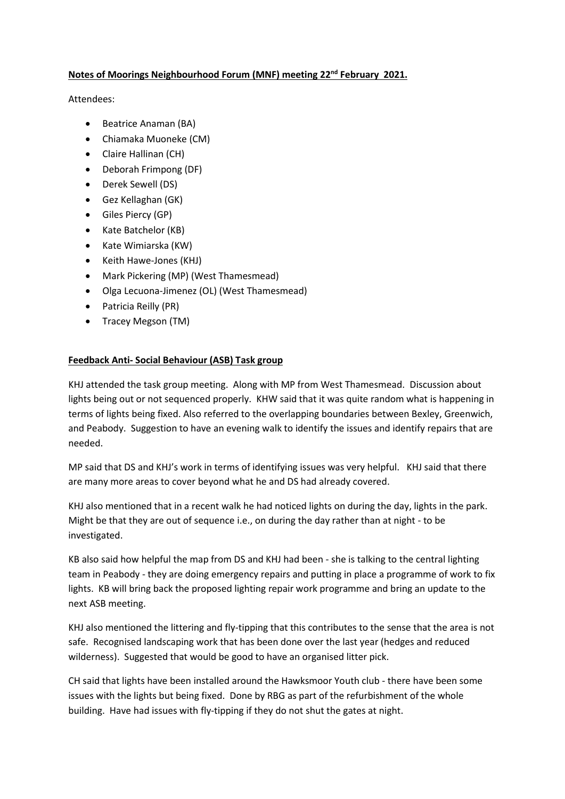# **Notes of Moorings Neighbourhood Forum (MNF) meeting 22nd February 2021.**

Attendees:

- Beatrice Anaman (BA)
- Chiamaka Muoneke (CM)
- Claire Hallinan (CH)
- Deborah Frimpong (DF)
- Derek Sewell (DS)
- Gez Kellaghan (GK)
- Giles Piercy (GP)
- Kate Batchelor (KB)
- Kate Wimiarska (KW)
- Keith Hawe-Jones (KHJ)
- Mark Pickering (MP) (West Thamesmead)
- Olga Lecuona-Jimenez (OL) (West Thamesmead)
- Patricia Reilly (PR)
- Tracey Megson (TM)

## **Feedback Anti- Social Behaviour (ASB) Task group**

KHJ attended the task group meeting. Along with MP from West Thamesmead. Discussion about lights being out or not sequenced properly. KHW said that it was quite random what is happening in terms of lights being fixed. Also referred to the overlapping boundaries between Bexley, Greenwich, and Peabody. Suggestion to have an evening walk to identify the issues and identify repairs that are needed.

MP said that DS and KHJ's work in terms of identifying issues was very helpful. KHJ said that there are many more areas to cover beyond what he and DS had already covered.

KHJ also mentioned that in a recent walk he had noticed lights on during the day, lights in the park. Might be that they are out of sequence i.e., on during the day rather than at night - to be investigated.

KB also said how helpful the map from DS and KHJ had been - she is talking to the central lighting team in Peabody - they are doing emergency repairs and putting in place a programme of work to fix lights. KB will bring back the proposed lighting repair work programme and bring an update to the next ASB meeting.

KHJ also mentioned the littering and fly-tipping that this contributes to the sense that the area is not safe. Recognised landscaping work that has been done over the last year (hedges and reduced wilderness). Suggested that would be good to have an organised litter pick.

CH said that lights have been installed around the Hawksmoor Youth club - there have been some issues with the lights but being fixed. Done by RBG as part of the refurbishment of the whole building. Have had issues with fly-tipping if they do not shut the gates at night.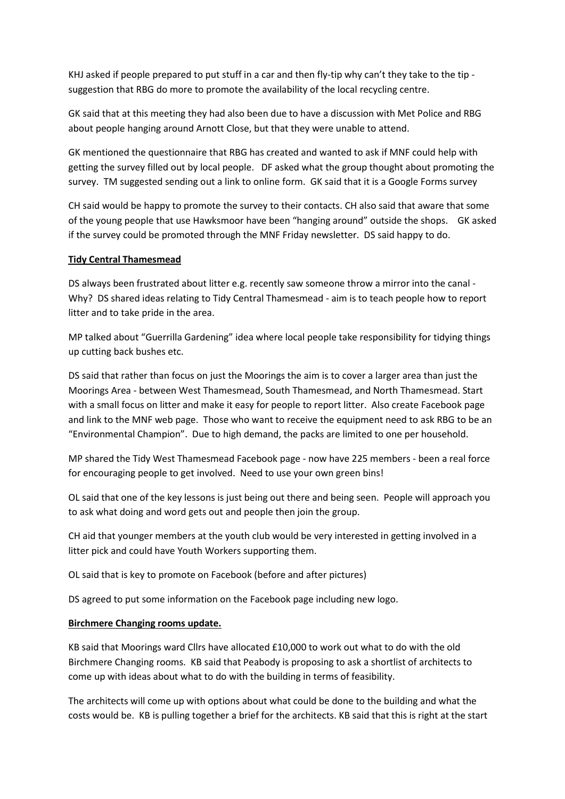KHJ asked if people prepared to put stuff in a car and then fly-tip why can't they take to the tip suggestion that RBG do more to promote the availability of the local recycling centre.

GK said that at this meeting they had also been due to have a discussion with Met Police and RBG about people hanging around Arnott Close, but that they were unable to attend.

GK mentioned the questionnaire that RBG has created and wanted to ask if MNF could help with getting the survey filled out by local people. DF asked what the group thought about promoting the survey. TM suggested sending out a link to online form. GK said that it is a Google Forms survey

CH said would be happy to promote the survey to their contacts. CH also said that aware that some of the young people that use Hawksmoor have been "hanging around" outside the shops. GK asked if the survey could be promoted through the MNF Friday newsletter. DS said happy to do.

## **Tidy Central Thamesmead**

DS always been frustrated about litter e.g. recently saw someone throw a mirror into the canal - Why? DS shared ideas relating to Tidy Central Thamesmead - aim is to teach people how to report litter and to take pride in the area.

MP talked about "Guerrilla Gardening" idea where local people take responsibility for tidying things up cutting back bushes etc.

DS said that rather than focus on just the Moorings the aim is to cover a larger area than just the Moorings Area - between West Thamesmead, South Thamesmead, and North Thamesmead. Start with a small focus on litter and make it easy for people to report litter. Also create Facebook page and link to the MNF web page. Those who want to receive the equipment need to ask RBG to be an "Environmental Champion". Due to high demand, the packs are limited to one per household.

MP shared the Tidy West Thamesmead Facebook page - now have 225 members - been a real force for encouraging people to get involved. Need to use your own green bins!

OL said that one of the key lessons is just being out there and being seen. People will approach you to ask what doing and word gets out and people then join the group.

CH aid that younger members at the youth club would be very interested in getting involved in a litter pick and could have Youth Workers supporting them.

OL said that is key to promote on Facebook (before and after pictures)

DS agreed to put some information on the Facebook page including new logo.

### **Birchmere Changing rooms update.**

KB said that Moorings ward Cllrs have allocated £10,000 to work out what to do with the old Birchmere Changing rooms. KB said that Peabody is proposing to ask a shortlist of architects to come up with ideas about what to do with the building in terms of feasibility.

The architects will come up with options about what could be done to the building and what the costs would be. KB is pulling together a brief for the architects. KB said that this is right at the start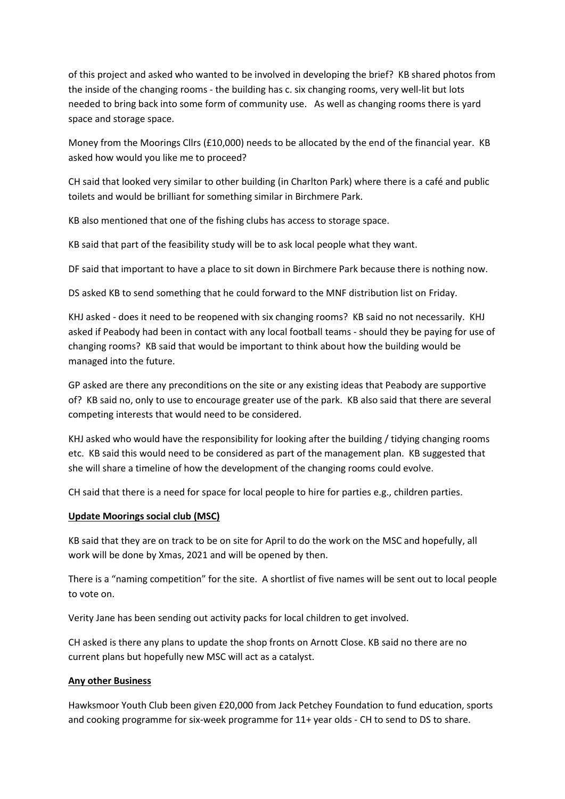of this project and asked who wanted to be involved in developing the brief? KB shared photos from the inside of the changing rooms - the building has c. six changing rooms, very well-lit but lots needed to bring back into some form of community use. As well as changing rooms there is yard space and storage space.

Money from the Moorings Cllrs (£10,000) needs to be allocated by the end of the financial year. KB asked how would you like me to proceed?

CH said that looked very similar to other building (in Charlton Park) where there is a café and public toilets and would be brilliant for something similar in Birchmere Park.

KB also mentioned that one of the fishing clubs has access to storage space.

KB said that part of the feasibility study will be to ask local people what they want.

DF said that important to have a place to sit down in Birchmere Park because there is nothing now.

DS asked KB to send something that he could forward to the MNF distribution list on Friday.

KHJ asked - does it need to be reopened with six changing rooms? KB said no not necessarily. KHJ asked if Peabody had been in contact with any local football teams - should they be paying for use of changing rooms? KB said that would be important to think about how the building would be managed into the future.

GP asked are there any preconditions on the site or any existing ideas that Peabody are supportive of? KB said no, only to use to encourage greater use of the park. KB also said that there are several competing interests that would need to be considered.

KHJ asked who would have the responsibility for looking after the building / tidying changing rooms etc. KB said this would need to be considered as part of the management plan. KB suggested that she will share a timeline of how the development of the changing rooms could evolve.

CH said that there is a need for space for local people to hire for parties e.g., children parties.

### **Update Moorings social club (MSC)**

KB said that they are on track to be on site for April to do the work on the MSC and hopefully, all work will be done by Xmas, 2021 and will be opened by then.

There is a "naming competition" for the site. A shortlist of five names will be sent out to local people to vote on.

Verity Jane has been sending out activity packs for local children to get involved.

CH asked is there any plans to update the shop fronts on Arnott Close. KB said no there are no current plans but hopefully new MSC will act as a catalyst.

# **Any other Business**

Hawksmoor Youth Club been given £20,000 from Jack Petchey Foundation to fund education, sports and cooking programme for six-week programme for 11+ year olds - CH to send to DS to share.